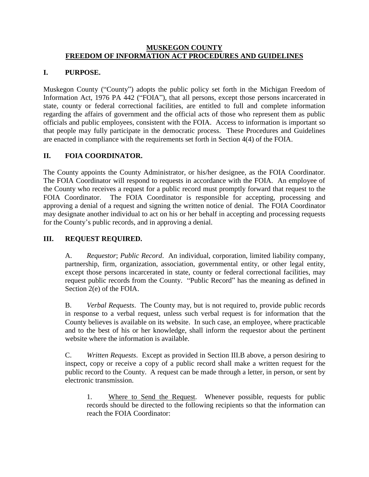#### **MUSKEGON COUNTY FREEDOM OF INFORMATION ACT PROCEDURES AND GUIDELINES**

# **I. PURPOSE.**

Muskegon County ("County") adopts the public policy set forth in the Michigan Freedom of Information Act, 1976 PA 442 ("FOIA"), that all persons, except those persons incarcerated in state, county or federal correctional facilities, are entitled to full and complete information regarding the affairs of government and the official acts of those who represent them as public officials and public employees, consistent with the FOIA. Access to information is important so that people may fully participate in the democratic process. These Procedures and Guidelines are enacted in compliance with the requirements set forth in Section 4(4) of the FOIA.

# **II. FOIA COORDINATOR.**

The County appoints the County Administrator, or his/her designee, as the FOIA Coordinator. The FOIA Coordinator will respond to requests in accordance with the FOIA. An employee of the County who receives a request for a public record must promptly forward that request to the FOIA Coordinator. The FOIA Coordinator is responsible for accepting, processing and approving a denial of a request and signing the written notice of denial. The FOIA Coordinator may designate another individual to act on his or her behalf in accepting and processing requests for the County's public records, and in approving a denial.

# **III. REQUEST REQUIRED.**

A. *Requestor*; *Public Record*. An individual, corporation, limited liability company, partnership, firm, organization, association, governmental entity, or other legal entity, except those persons incarcerated in state, county or federal correctional facilities, may request public records from the County. "Public Record" has the meaning as defined in Section 2(e) of the FOIA.

B. *Verbal Requests*. The County may, but is not required to, provide public records in response to a verbal request, unless such verbal request is for information that the County believes is available on its website. In such case, an employee, where practicable and to the best of his or her knowledge, shall inform the requestor about the pertinent website where the information is available.

C. *Written Requests*. Except as provided in Section III.B above, a person desiring to inspect, copy or receive a copy of a public record shall make a written request for the public record to the County. A request can be made through a letter, in person, or sent by electronic transmission.

1. Where to Send the Request. Whenever possible, requests for public records should be directed to the following recipients so that the information can reach the FOIA Coordinator: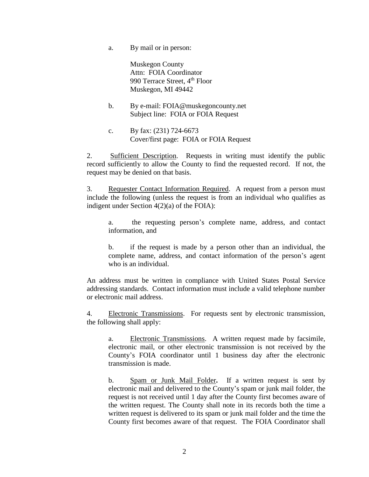a. By mail or in person:

Muskegon County Attn: FOIA Coordinator 990 Terrace Street, 4<sup>th</sup> Floor Muskegon, MI 49442

- b. By e-mail: FOIA@muskegoncounty.net Subject line: FOIA or FOIA Request
- c. By fax: (231) 724-6673 Cover/first page: FOIA or FOIA Request

2. Sufficient Description. Requests in writing must identify the public record sufficiently to allow the County to find the requested record. If not, the request may be denied on that basis.

3. Requester Contact Information Required. A request from a person must include the following (unless the request is from an individual who qualifies as indigent under Section 4(2)(a) of the FOIA):

a. the requesting person's complete name, address, and contact information, and

b. if the request is made by a person other than an individual, the complete name, address, and contact information of the person's agent who is an individual.

An address must be written in compliance with United States Postal Service addressing standards. Contact information must include a valid telephone number or electronic mail address.

4. Electronic Transmissions. For requests sent by electronic transmission, the following shall apply:

a. Electronic Transmissions. A written request made by facsimile, electronic mail, or other electronic transmission is not received by the County's FOIA coordinator until 1 business day after the electronic transmission is made.

b. Spam or Junk Mail Folder**.** If a written request is sent by electronic mail and delivered to the County's spam or junk mail folder, the request is not received until 1 day after the County first becomes aware of the written request. The County shall note in its records both the time a written request is delivered to its spam or junk mail folder and the time the County first becomes aware of that request. The FOIA Coordinator shall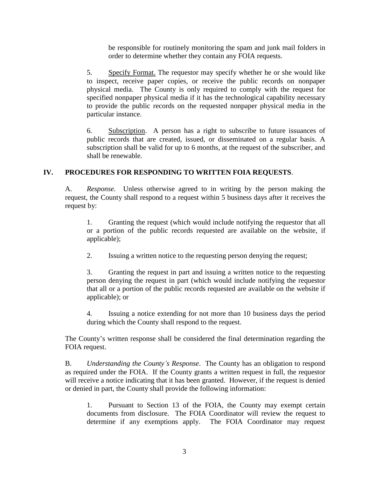be responsible for routinely monitoring the spam and junk mail folders in order to determine whether they contain any FOIA requests.

5. Specify Format. The requestor may specify whether he or she would like to inspect, receive paper copies, or receive the public records on nonpaper physical media. The County is only required to comply with the request for specified nonpaper physical media if it has the technological capability necessary to provide the public records on the requested nonpaper physical media in the particular instance.

6. Subscription. A person has a right to subscribe to future issuances of public records that are created, issued, or disseminated on a regular basis. A subscription shall be valid for up to 6 months, at the request of the subscriber, and shall be renewable.

# **IV. PROCEDURES FOR RESPONDING TO WRITTEN FOIA REQUESTS**.

A. *Response.* Unless otherwise agreed to in writing by the person making the request, the County shall respond to a request within 5 business days after it receives the request by:

1. Granting the request (which would include notifying the requestor that all or a portion of the public records requested are available on the website, if applicable);

2. Issuing a written notice to the requesting person denying the request;

3. Granting the request in part and issuing a written notice to the requesting person denying the request in part (which would include notifying the requestor that all or a portion of the public records requested are available on the website if applicable); or

4. Issuing a notice extending for not more than 10 business days the period during which the County shall respond to the request.

The County's written response shall be considered the final determination regarding the FOIA request.

B. *Understanding the County's Response*. The County has an obligation to respond as required under the FOIA. If the County grants a written request in full, the requestor will receive a notice indicating that it has been granted. However, if the request is denied or denied in part, the County shall provide the following information:

1. Pursuant to Section 13 of the FOIA, the County may exempt certain documents from disclosure. The FOIA Coordinator will review the request to determine if any exemptions apply. The FOIA Coordinator may request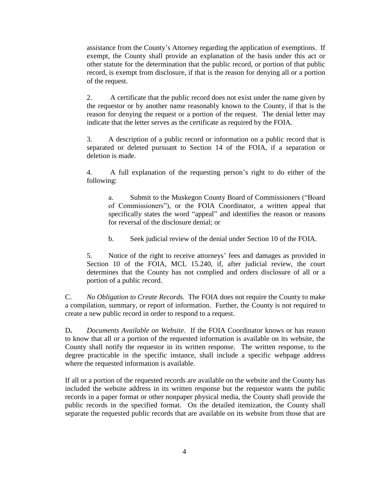assistance from the County's Attorney regarding the application of exemptions. If exempt, the County shall provide an explanation of the basis under this act or other statute for the determination that the public record, or portion of that public record, is exempt from disclosure, if that is the reason for denying all or a portion of the request.

2. A certificate that the public record does not exist under the name given by the requestor or by another name reasonably known to the County, if that is the reason for denying the request or a portion of the request. The denial letter may indicate that the letter serves as the certificate as required by the FOIA.

3. A description of a public record or information on a public record that is separated or deleted pursuant to Section 14 of the FOIA, if a separation or deletion is made.

4. A full explanation of the requesting person's right to do either of the following:

a. Submit to the Muskegon County Board of Commissioners ("Board of Commissioners"), or the FOIA Coordinator, a written appeal that specifically states the word "appeal" and identifies the reason or reasons for reversal of the disclosure denial; or

b. Seek judicial review of the denial under Section 10 of the FOIA.

5. Notice of the right to receive attorneys' fees and damages as provided in Section 10 of the FOIA, MCL 15.240, if, after judicial review, the court determines that the County has not complied and orders disclosure of all or a portion of a public record.

C. *No Obligation to Create Records.* The FOIA does not require the County to make a compilation, summary, or report of information. Further, the County is not required to create a new public record in order to respond to a request.

D**.** *Documents Available on Website*. If the FOIA Coordinator knows or has reason to know that all or a portion of the requested information is available on its website, the County shall notify the requestor in its written response. The written response, to the degree practicable in the specific instance, shall include a specific webpage address where the requested information is available.

If all or a portion of the requested records are available on the website and the County has included the website address in its written response but the requestor wants the public records in a paper format or other nonpaper physical media, the County shall provide the public records in the specified format. On the detailed itemization, the County shall separate the requested public records that are available on its website from those that are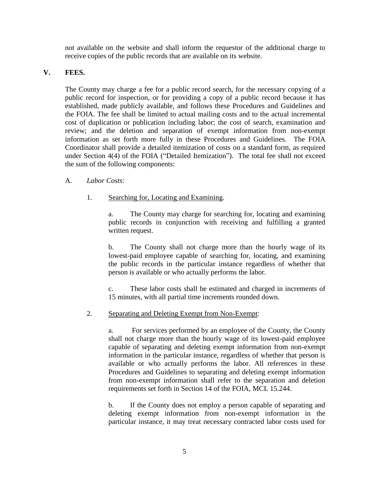not available on the website and shall inform the requestor of the additional charge to receive copies of the public records that are available on its website.

# **V. FEES.**

The County may charge a fee for a public record search, for the necessary copying of a public record for inspection, or for providing a copy of a public record because it has established, made publicly available, and follows these Procedures and Guidelines and the FOIA. The fee shall be limited to actual mailing costs and to the actual incremental cost of duplication or publication including labor; the cost of search, examination and review; and the deletion and separation of exempt information from non-exempt information as set forth more fully in these Procedures and Guidelines. The FOIA Coordinator shall provide a detailed itemization of costs on a standard form, as required under Section 4(4) of the FOIA ("Detailed Itemization"). The total fee shall not exceed the sum of the following components:

# A. *Labor Costs*:

1. Searching for, Locating and Examining.

a. The County may charge for searching for, locating and examining public records in conjunction with receiving and fulfilling a granted written request.

b. The County shall not charge more than the hourly wage of its lowest-paid employee capable of searching for, locating, and examining the public records in the particular instance regardless of whether that person is available or who actually performs the labor.

c. These labor costs shall be estimated and charged in increments of 15 minutes, with all partial time increments rounded down.

#### 2. Separating and Deleting Exempt from Non-Exempt:

a. For services performed by an employee of the County, the County shall not charge more than the hourly wage of its lowest-paid employee capable of separating and deleting exempt information from non-exempt information in the particular instance, regardless of whether that person is available or who actually performs the labor. All references in these Procedures and Guidelines to separating and deleting exempt information from non-exempt information shall refer to the separation and deletion requirements set forth in Section 14 of the FOIA, MCL 15.244.

b. If the County does not employ a person capable of separating and deleting exempt information from non-exempt information in the particular instance, it may treat necessary contracted labor costs used for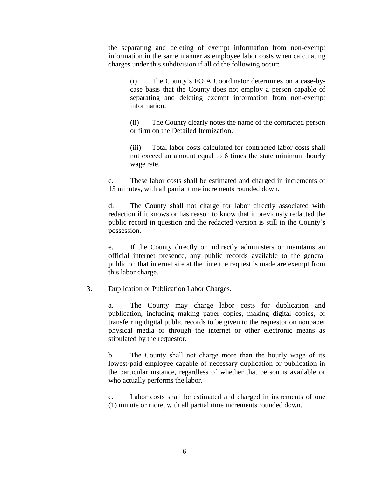the separating and deleting of exempt information from non-exempt information in the same manner as employee labor costs when calculating charges under this subdivision if all of the following occur:

(i) The County's FOIA Coordinator determines on a case-bycase basis that the County does not employ a person capable of separating and deleting exempt information from non-exempt information.

(ii) The County clearly notes the name of the contracted person or firm on the Detailed Itemization.

(iii) Total labor costs calculated for contracted labor costs shall not exceed an amount equal to 6 times the state minimum hourly wage rate.

c. These labor costs shall be estimated and charged in increments of 15 minutes, with all partial time increments rounded down.

d. The County shall not charge for labor directly associated with redaction if it knows or has reason to know that it previously redacted the public record in question and the redacted version is still in the County's possession.

e. If the County directly or indirectly administers or maintains an official internet presence, any public records available to the general public on that internet site at the time the request is made are exempt from this labor charge.

#### 3. Duplication or Publication Labor Charges.

a. The County may charge labor costs for duplication and publication, including making paper copies, making digital copies, or transferring digital public records to be given to the requestor on nonpaper physical media or through the internet or other electronic means as stipulated by the requestor.

b. The County shall not charge more than the hourly wage of its lowest-paid employee capable of necessary duplication or publication in the particular instance, regardless of whether that person is available or who actually performs the labor.

c. Labor costs shall be estimated and charged in increments of one (1) minute or more, with all partial time increments rounded down.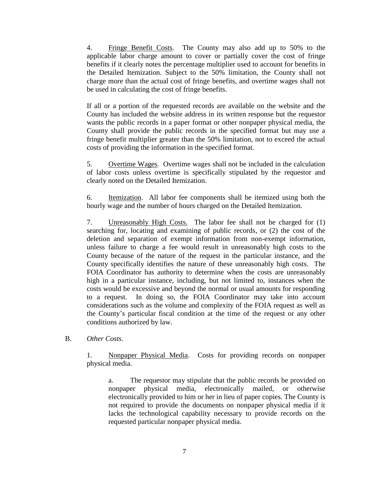4. Fringe Benefit Costs. The County may also add up to 50% to the applicable labor charge amount to cover or partially cover the cost of fringe benefits if it clearly notes the percentage multiplier used to account for benefits in the Detailed Itemization. Subject to the 50% limitation, the County shall not charge more than the actual cost of fringe benefits, and overtime wages shall not be used in calculating the cost of fringe benefits.

If all or a portion of the requested records are available on the website and the County has included the website address in its written response but the requestor wants the public records in a paper format or other nonpaper physical media, the County shall provide the public records in the specified format but may use a fringe benefit multiplier greater than the 50% limitation, not to exceed the actual costs of providing the information in the specified format.

5. Overtime Wages. Overtime wages shall not be included in the calculation of labor costs unless overtime is specifically stipulated by the requestor and clearly noted on the Detailed Itemization.

6. Itemization. All labor fee components shall be itemized using both the hourly wage and the number of hours charged on the Detailed Itemization.

7. Unreasonably High Costs. The labor fee shall not be charged for (1) searching for, locating and examining of public records, or (2) the cost of the deletion and separation of exempt information from non-exempt information, unless failure to charge a fee would result in unreasonably high costs to the County because of the nature of the request in the particular instance, and the County specifically identifies the nature of these unreasonably high costs. The FOIA Coordinator has authority to determine when the costs are unreasonably high in a particular instance, including, but not limited to, instances when the costs would be excessive and beyond the normal or usual amounts for responding to a request. In doing so, the FOIA Coordinator may take into account considerations such as the volume and complexity of the FOIA request as well as the County's particular fiscal condition at the time of the request or any other conditions authorized by law.

B. *Other Costs.*

1. Nonpaper Physical Media. Costs for providing records on nonpaper physical media.

a. The requestor may stipulate that the public records be provided on nonpaper physical media, electronically mailed, or otherwise electronically provided to him or her in lieu of paper copies. The County is not required to provide the documents on nonpaper physical media if it lacks the technological capability necessary to provide records on the requested particular nonpaper physical media.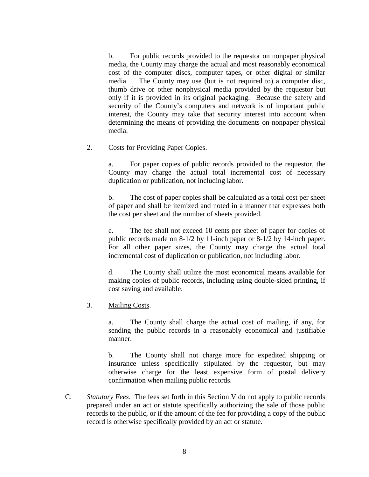b. For public records provided to the requestor on nonpaper physical media, the County may charge the actual and most reasonably economical cost of the computer discs, computer tapes, or other digital or similar media. The County may use (but is not required to) a computer disc, thumb drive or other nonphysical media provided by the requestor but only if it is provided in its original packaging. Because the safety and security of the County's computers and network is of important public interest, the County may take that security interest into account when determining the means of providing the documents on nonpaper physical media.

#### 2. Costs for Providing Paper Copies.

a. For paper copies of public records provided to the requestor, the County may charge the actual total incremental cost of necessary duplication or publication, not including labor.

b. The cost of paper copies shall be calculated as a total cost per sheet of paper and shall be itemized and noted in a manner that expresses both the cost per sheet and the number of sheets provided.

c. The fee shall not exceed 10 cents per sheet of paper for copies of public records made on 8-1/2 by 11-inch paper or 8-1/2 by 14-inch paper. For all other paper sizes, the County may charge the actual total incremental cost of duplication or publication, not including labor.

d. The County shall utilize the most economical means available for making copies of public records, including using double-sided printing, if cost saving and available.

3. Mailing Costs.

a. The County shall charge the actual cost of mailing, if any, for sending the public records in a reasonably economical and justifiable manner.

b. The County shall not charge more for expedited shipping or insurance unless specifically stipulated by the requestor, but may otherwise charge for the least expensive form of postal delivery confirmation when mailing public records.

C. *Statutory Fees*. The fees set forth in this Section V do not apply to public records prepared under an act or statute specifically authorizing the sale of those public records to the public, or if the amount of the fee for providing a copy of the public record is otherwise specifically provided by an act or statute.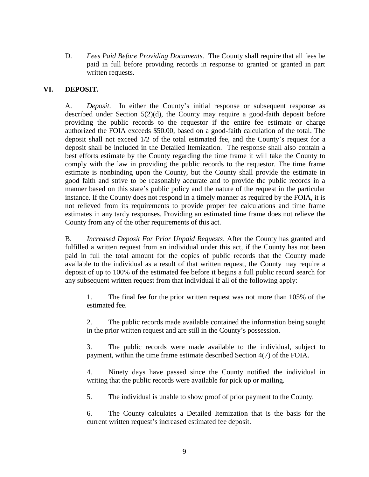D. *Fees Paid Before Providing Documents.* The County shall require that all fees be paid in full before providing records in response to granted or granted in part written requests.

# **VI. DEPOSIT.**

A. *Deposit*. In either the County's initial response or subsequent response as described under Section 5(2)(d), the County may require a good-faith deposit before providing the public records to the requestor if the entire fee estimate or charge authorized the FOIA exceeds \$50.00, based on a good-faith calculation of the total. The deposit shall not exceed 1/2 of the total estimated fee, and the County's request for a deposit shall be included in the Detailed Itemization. The response shall also contain a best efforts estimate by the County regarding the time frame it will take the County to comply with the law in providing the public records to the requestor. The time frame estimate is nonbinding upon the County, but the County shall provide the estimate in good faith and strive to be reasonably accurate and to provide the public records in a manner based on this state's public policy and the nature of the request in the particular instance. If the County does not respond in a timely manner as required by the FOIA, it is not relieved from its requirements to provide proper fee calculations and time frame estimates in any tardy responses. Providing an estimated time frame does not relieve the County from any of the other requirements of this act.

B. *Increased Deposit For Prior Unpaid Requests*. After the County has granted and fulfilled a written request from an individual under this act, if the County has not been paid in full the total amount for the copies of public records that the County made available to the individual as a result of that written request, the County may require a deposit of up to 100% of the estimated fee before it begins a full public record search for any subsequent written request from that individual if all of the following apply:

1. The final fee for the prior written request was not more than 105% of the estimated fee.

2. The public records made available contained the information being sought in the prior written request and are still in the County's possession.

3. The public records were made available to the individual, subject to payment, within the time frame estimate described Section 4(7) of the FOIA.

4. Ninety days have passed since the County notified the individual in writing that the public records were available for pick up or mailing.

5. The individual is unable to show proof of prior payment to the County.

6. The County calculates a Detailed Itemization that is the basis for the current written request's increased estimated fee deposit.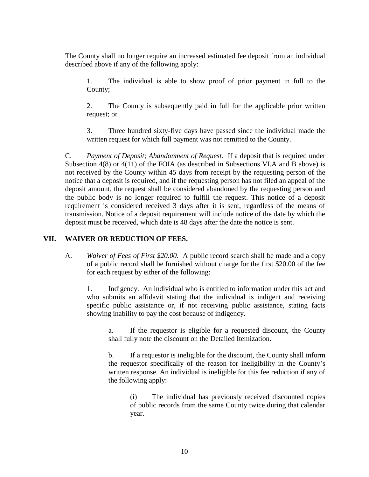The County shall no longer require an increased estimated fee deposit from an individual described above if any of the following apply:

1. The individual is able to show proof of prior payment in full to the County;

2. The County is subsequently paid in full for the applicable prior written request; or

3. Three hundred sixty-five days have passed since the individual made the written request for which full payment was not remitted to the County.

C. *Payment of Deposit; Abandonment of Request.* If a deposit that is required under Subsection 4(8) or 4(11) of the FOIA (as described in Subsections VI.A and B above) is not received by the County within 45 days from receipt by the requesting person of the notice that a deposit is required, and if the requesting person has not filed an appeal of the deposit amount, the request shall be considered abandoned by the requesting person and the public body is no longer required to fulfill the request. This notice of a deposit requirement is considered received 3 days after it is sent, regardless of the means of transmission. Notice of a deposit requirement will include notice of the date by which the deposit must be received, which date is 48 days after the date the notice is sent.

# **VII. WAIVER OR REDUCTION OF FEES.**

A. *Waiver of Fees of First \$20.00*. A public record search shall be made and a copy of a public record shall be furnished without charge for the first \$20.00 of the fee for each request by either of the following:

1. Indigency. An individual who is entitled to information under this act and who submits an affidavit stating that the individual is indigent and receiving specific public assistance or, if not receiving public assistance, stating facts showing inability to pay the cost because of indigency.

a. If the requestor is eligible for a requested discount, the County shall fully note the discount on the Detailed Itemization.

b. If a requestor is ineligible for the discount, the County shall inform the requestor specifically of the reason for ineligibility in the County's written response. An individual is ineligible for this fee reduction if any of the following apply:

(i) The individual has previously received discounted copies of public records from the same County twice during that calendar year.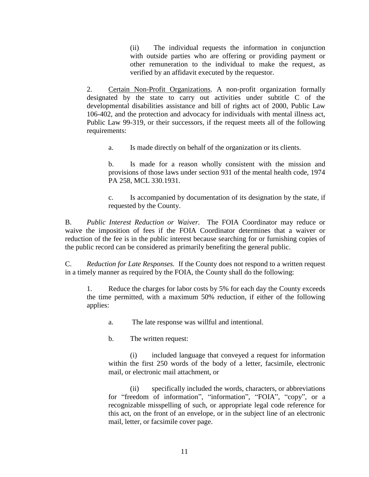(ii) The individual requests the information in conjunction with outside parties who are offering or providing payment or other remuneration to the individual to make the request, as verified by an affidavit executed by the requestor.

2. Certain Non-Profit Organizations. A non-profit organization formally designated by the state to carry out activities under subtitle C of the developmental disabilities assistance and bill of rights act of 2000, Public Law 106-402, and the protection and advocacy for individuals with mental illness act, Public Law 99-319, or their successors, if the request meets all of the following requirements:

a. Is made directly on behalf of the organization or its clients.

b. Is made for a reason wholly consistent with the mission and provisions of those laws under section 931 of the mental health code, 1974 PA 258, MCL 330.1931.

c. Is accompanied by documentation of its designation by the state, if requested by the County.

B. *Public Interest Reduction or Waiver.* The FOIA Coordinator may reduce or waive the imposition of fees if the FOIA Coordinator determines that a waiver or reduction of the fee is in the public interest because searching for or furnishing copies of the public record can be considered as primarily benefiting the general public.

C. *Reduction for Late Responses.* If the County does not respond to a written request in a timely manner as required by the FOIA, the County shall do the following:

1. Reduce the charges for labor costs by 5% for each day the County exceeds the time permitted, with a maximum 50% reduction, if either of the following applies:

a. The late response was willful and intentional.

b. The written request:

(i) included language that conveyed a request for information within the first 250 words of the body of a letter, facsimile, electronic mail, or electronic mail attachment, or

(ii) specifically included the words, characters, or abbreviations for "freedom of information", "information", "FOIA", "copy", or a recognizable misspelling of such, or appropriate legal code reference for this act, on the front of an envelope, or in the subject line of an electronic mail, letter, or facsimile cover page.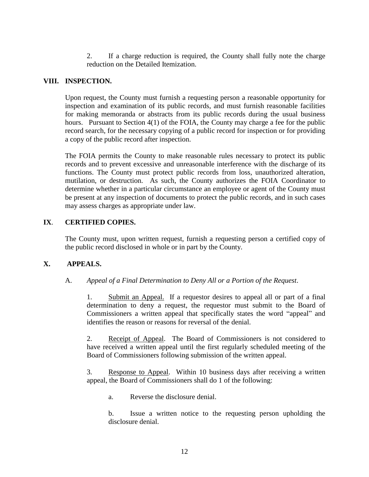2. If a charge reduction is required, the County shall fully note the charge reduction on the Detailed Itemization.

### **VIII. INSPECTION.**

Upon request, the County must furnish a requesting person a reasonable opportunity for inspection and examination of its public records, and must furnish reasonable facilities for making memoranda or abstracts from its public records during the usual business hours. Pursuant to Section 4(1) of the FOIA, the County may charge a fee for the public record search, for the necessary copying of a public record for inspection or for providing a copy of the public record after inspection.

The FOIA permits the County to make reasonable rules necessary to protect its public records and to prevent excessive and unreasonable interference with the discharge of its functions. The County must protect public records from loss, unauthorized alteration, mutilation, or destruction. As such, the County authorizes the FOIA Coordinator to determine whether in a particular circumstance an employee or agent of the County must be present at any inspection of documents to protect the public records, and in such cases may assess charges as appropriate under law.

# **IX**. **CERTIFIED COPIES.**

The County must, upon written request, furnish a requesting person a certified copy of the public record disclosed in whole or in part by the County.

#### **X. APPEALS.**

#### A. *Appeal of a Final Determination to Deny All or a Portion of the Request*.

1. Submit an Appeal. If a requestor desires to appeal all or part of a final determination to deny a request, the requestor must submit to the Board of Commissioners a written appeal that specifically states the word "appeal" and identifies the reason or reasons for reversal of the denial.

2. Receipt of Appeal. The Board of Commissioners is not considered to have received a written appeal until the first regularly scheduled meeting of the Board of Commissioners following submission of the written appeal.

3. Response to Appeal. Within 10 business days after receiving a written appeal, the Board of Commissioners shall do 1 of the following:

a. Reverse the disclosure denial.

b. Issue a written notice to the requesting person upholding the disclosure denial.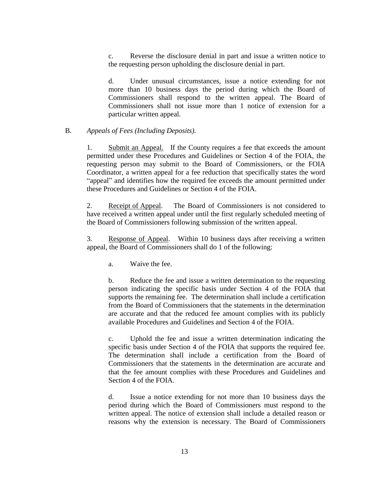c. Reverse the disclosure denial in part and issue a written notice to the requesting person upholding the disclosure denial in part.

d. Under unusual circumstances, issue a notice extending for not more than 10 business days the period during which the Board of Commissioners shall respond to the written appeal. The Board of Commissioners shall not issue more than 1 notice of extension for a particular written appeal.

### B. *Appeals of Fees (Including Deposits).*

1. Submit an Appeal. If the County requires a fee that exceeds the amount permitted under these Procedures and Guidelines or Section 4 of the FOIA, the requesting person may submit to the Board of Commissioners, or the FOIA Coordinator, a written appeal for a fee reduction that specifically states the word "appeal" and identifies how the required fee exceeds the amount permitted under these Procedures and Guidelines or Section 4 of the FOIA.

2. Receipt of Appeal. The Board of Commissioners is not considered to have received a written appeal under until the first regularly scheduled meeting of the Board of Commissioners following submission of the written appeal.

3. Response of Appeal. Within 10 business days after receiving a written appeal, the Board of Commissioners shall do 1 of the following:

a. Waive the fee.

b. Reduce the fee and issue a written determination to the requesting person indicating the specific basis under Section 4 of the FOIA that supports the remaining fee. The determination shall include a certification from the Board of Commissioners that the statements in the determination are accurate and that the reduced fee amount complies with its publicly available Procedures and Guidelines and Section 4 of the FOIA.

c. Uphold the fee and issue a written determination indicating the specific basis under Section 4 of the FOIA that supports the required fee. The determination shall include a certification from the Board of Commissioners that the statements in the determination are accurate and that the fee amount complies with these Procedures and Guidelines and Section 4 of the FOIA.

d. Issue a notice extending for not more than 10 business days the period during which the Board of Commissioners must respond to the written appeal. The notice of extension shall include a detailed reason or reasons why the extension is necessary. The Board of Commissioners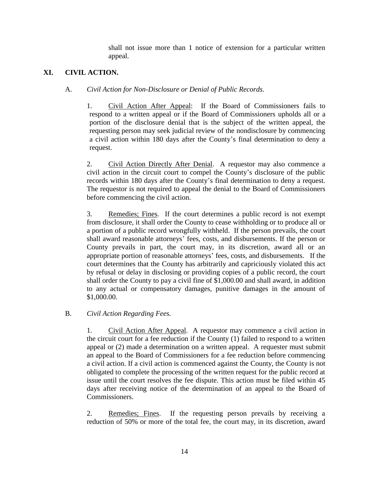shall not issue more than 1 notice of extension for a particular written appeal.

# **XI. CIVIL ACTION.**

# A. *Civil Action for Non-Disclosure or Denial of Public Records.*

1. Civil Action After Appeal: If the Board of Commissioners fails to respond to a written appeal or if the Board of Commissioners upholds all or a portion of the disclosure denial that is the subject of the written appeal, the requesting person may seek judicial review of the nondisclosure by commencing a civil action within 180 days after the County's final determination to deny a request.

2. Civil Action Directly After Denial. A requestor may also commence a civil action in the circuit court to compel the County's disclosure of the public records within 180 days after the County's final determination to deny a request. The requestor is not required to appeal the denial to the Board of Commissioners before commencing the civil action.

3. Remedies; Fines. If the court determines a public record is not exempt from disclosure, it shall order the County to cease withholding or to produce all or a portion of a public record wrongfully withheld. If the person prevails, the court shall award reasonable attorneys' fees, costs, and disbursements. If the person or County prevails in part, the court may, in its discretion, award all or an appropriate portion of reasonable attorneys' fees, costs, and disbursements. If the court determines that the County has arbitrarily and capriciously violated this act by refusal or delay in disclosing or providing copies of a public record, the court shall order the County to pay a civil fine of \$1,000.00 and shall award, in addition to any actual or compensatory damages, punitive damages in the amount of \$1,000.00.

# B. *Civil Action Regarding Fees.*

1. Civil Action After Appeal. A requestor may commence a civil action in the circuit court for a fee reduction if the County (1) failed to respond to a written appeal or (2) made a determination on a written appeal. A requester must submit an appeal to the Board of Commissioners for a fee reduction before commencing a civil action. If a civil action is commenced against the County, the County is not obligated to complete the processing of the written request for the public record at issue until the court resolves the fee dispute. This action must be filed within 45 days after receiving notice of the determination of an appeal to the Board of Commissioners.

2. Remedies; Fines. If the requesting person prevails by receiving a reduction of 50% or more of the total fee, the court may, in its discretion, award